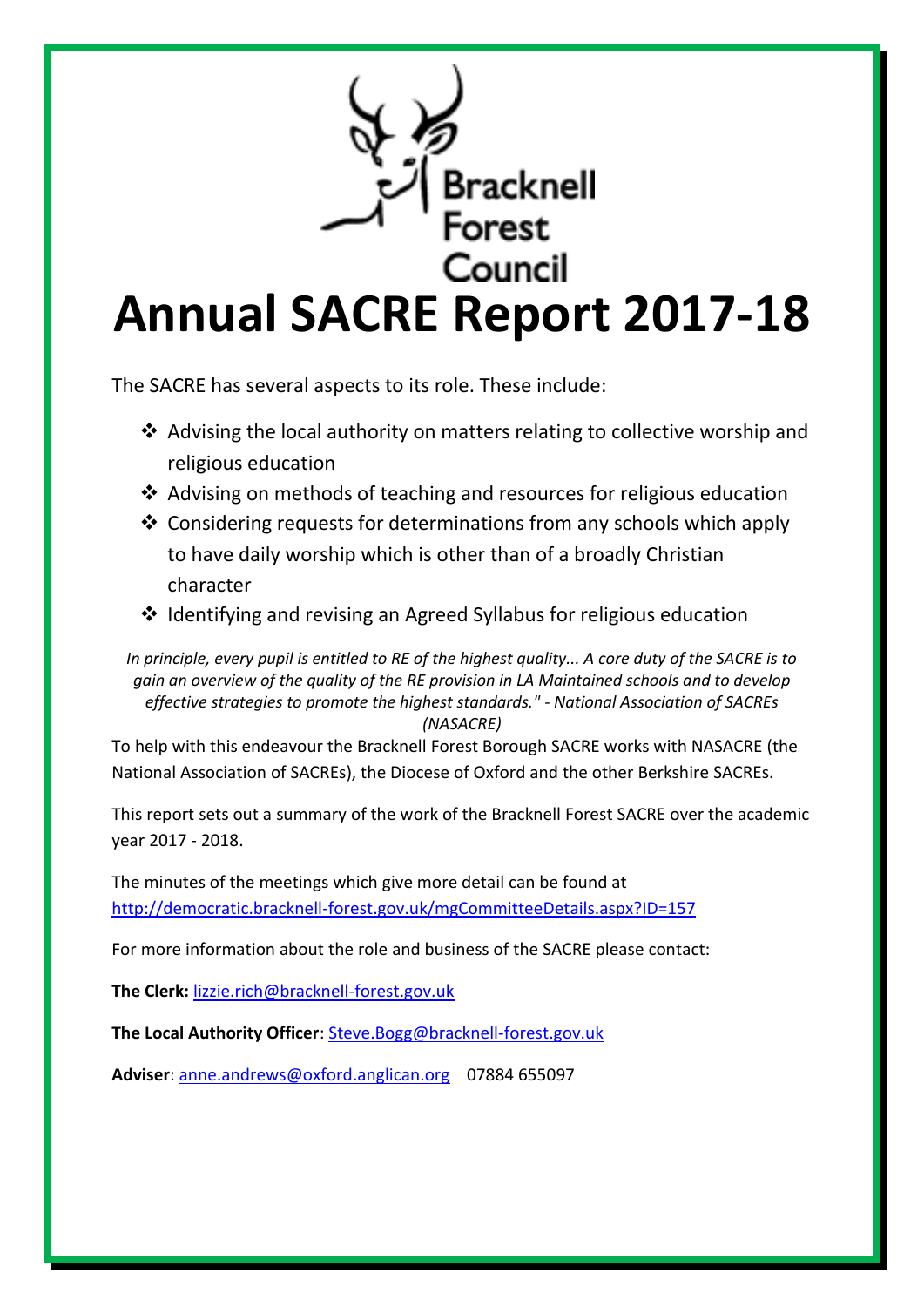

The SACRE has several aspects to its role. These include:

- ❖ Advising the local authority on matters relating to collective worship and religious education
- ❖ Advising on methods of teaching and resources for religious education
- ❖ Considering requests for determinations from any schools which apply to have daily worship which is other than of a broadly Christian character
- ❖ Identifying and revising an Agreed Syllabus for religious education

*In principle, every pupil is entitled to RE of the highest quality... A core duty of the SACRE is to gain an overview of the quality of the RE provision in LA Maintained schools and to develop effective strategies to promote the highest standards." - National Association of SACREs (NASACRE)*

To help with this endeavour the Bracknell Forest Borough SACRE works with NASACRE (the National Association of SACREs), the Diocese of Oxford and the other Berkshire SACREs.

This report sets out a summary of the work of the Bracknell Forest SACRE over the academic year 2017 - 2018.

The minutes of the meetings which give more detail can be found at <http://democratic.bracknell-forest.gov.uk/mgCommitteeDetails.aspx?ID=157>

For more information about the role and business of the SACRE please contact:

**The Clerk:** [lizzie.rich@bracknell-forest.gov.uk](mailto:lizzie.rich@bracknell-forest.gov.uk)

**The Local Authority Officer**[: Steve.Bogg@bracknell-forest.gov.uk](mailto:Steve.Bogg@bracknell-forest.gov.uk)

**Adviser**: [anne.andrews@oxford.anglican.org](mailto:anne.andrews@oxford.anglican.org) 07884 655097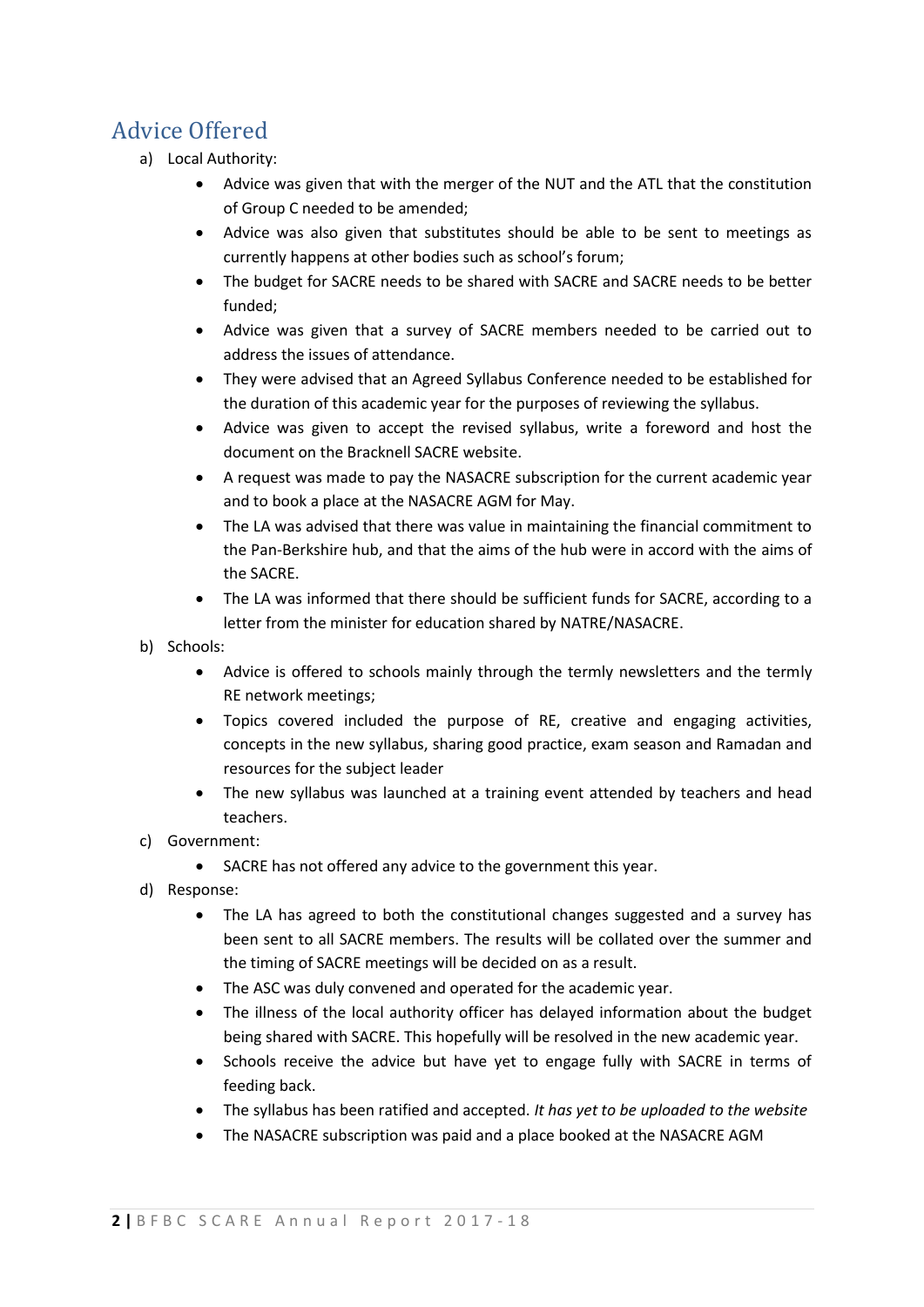# Advice Offered

- a) Local Authority:
	- Advice was given that with the merger of the NUT and the ATL that the constitution of Group C needed to be amended;
	- Advice was also given that substitutes should be able to be sent to meetings as currently happens at other bodies such as school's forum;
	- The budget for SACRE needs to be shared with SACRE and SACRE needs to be better funded;
	- Advice was given that a survey of SACRE members needed to be carried out to address the issues of attendance.
	- They were advised that an Agreed Syllabus Conference needed to be established for the duration of this academic year for the purposes of reviewing the syllabus.
	- Advice was given to accept the revised syllabus, write a foreword and host the document on the Bracknell SACRE website.
	- A request was made to pay the NASACRE subscription for the current academic year and to book a place at the NASACRE AGM for May.
	- The LA was advised that there was value in maintaining the financial commitment to the Pan-Berkshire hub, and that the aims of the hub were in accord with the aims of the SACRE.
	- The LA was informed that there should be sufficient funds for SACRE, according to a letter from the minister for education shared by NATRE/NASACRE.
- b) Schools:
	- Advice is offered to schools mainly through the termly newsletters and the termly RE network meetings;
	- Topics covered included the purpose of RE, creative and engaging activities, concepts in the new syllabus, sharing good practice, exam season and Ramadan and resources for the subject leader
	- The new syllabus was launched at a training event attended by teachers and head teachers.
- c) Government:
	- SACRE has not offered any advice to the government this year.
- d) Response:
	- The LA has agreed to both the constitutional changes suggested and a survey has been sent to all SACRE members. The results will be collated over the summer and the timing of SACRE meetings will be decided on as a result.
	- The ASC was duly convened and operated for the academic year.
	- The illness of the local authority officer has delayed information about the budget being shared with SACRE. This hopefully will be resolved in the new academic year.
	- Schools receive the advice but have yet to engage fully with SACRE in terms of feeding back.
	- The syllabus has been ratified and accepted. *It has yet to be uploaded to the website*
	- The NASACRE subscription was paid and a place booked at the NASACRE AGM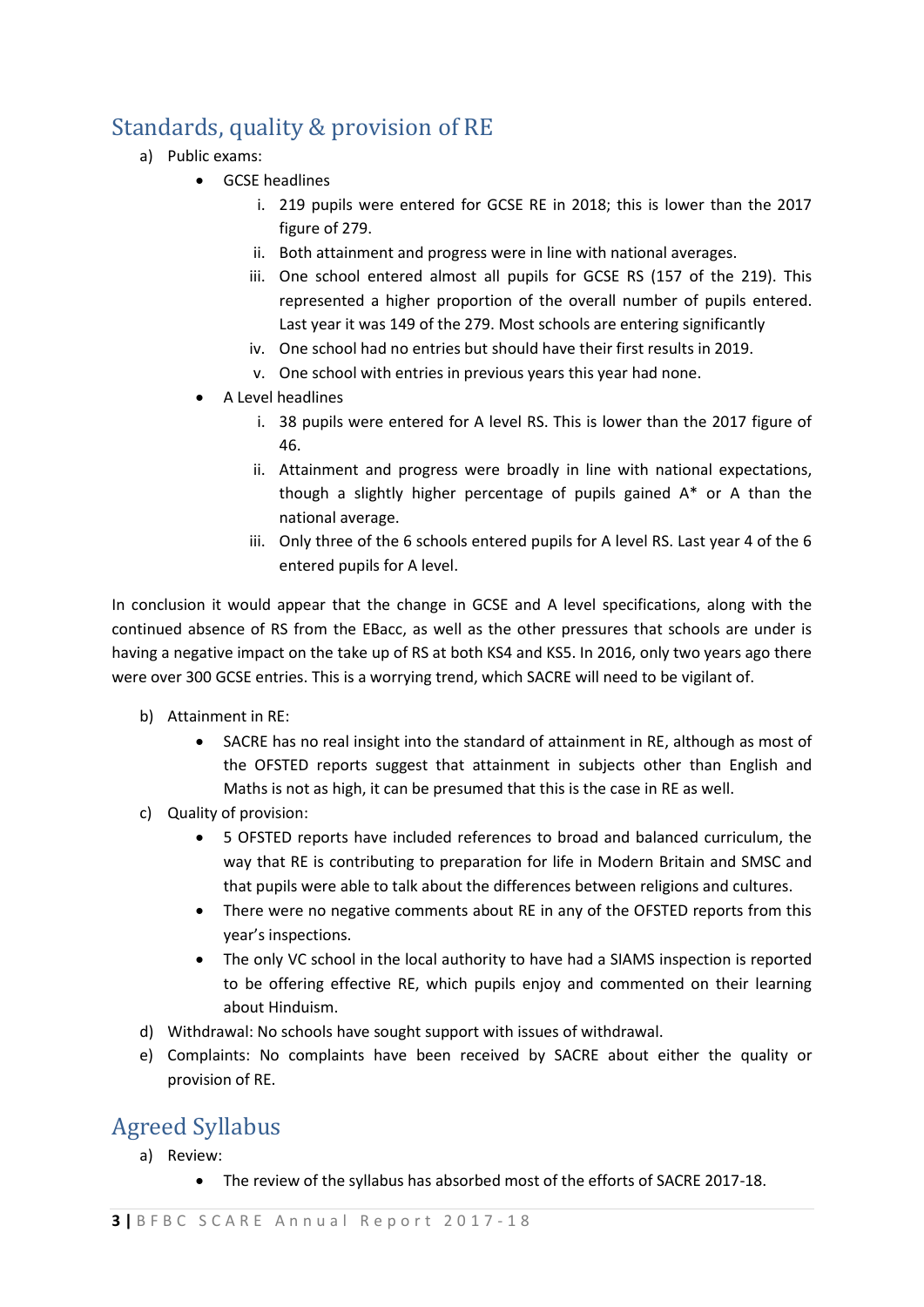# Standards, quality & provision of RE

- a) Public exams:
	- GCSE headlines
		- i. 219 pupils were entered for GCSE RE in 2018; this is lower than the 2017 figure of 279.
		- ii. Both attainment and progress were in line with national averages.
		- iii. One school entered almost all pupils for GCSE RS (157 of the 219). This represented a higher proportion of the overall number of pupils entered. Last year it was 149 of the 279. Most schools are entering significantly
		- iv. One school had no entries but should have their first results in 2019.
		- v. One school with entries in previous years this year had none.
	- A Level headlines
		- i. 38 pupils were entered for A level RS. This is lower than the 2017 figure of 46.
		- ii. Attainment and progress were broadly in line with national expectations, though a slightly higher percentage of pupils gained A\* or A than the national average.
		- iii. Only three of the 6 schools entered pupils for A level RS. Last year 4 of the 6 entered pupils for A level.

In conclusion it would appear that the change in GCSE and A level specifications, along with the continued absence of RS from the EBacc, as well as the other pressures that schools are under is having a negative impact on the take up of RS at both KS4 and KS5. In 2016, only two years ago there were over 300 GCSE entries. This is a worrying trend, which SACRE will need to be vigilant of.

- b) Attainment in RE:
	- SACRE has no real insight into the standard of attainment in RE, although as most of the OFSTED reports suggest that attainment in subjects other than English and Maths is not as high, it can be presumed that this is the case in RE as well.
- c) Quality of provision:
	- 5 OFSTED reports have included references to broad and balanced curriculum, the way that RE is contributing to preparation for life in Modern Britain and SMSC and that pupils were able to talk about the differences between religions and cultures.
	- There were no negative comments about RE in any of the OFSTED reports from this year's inspections.
	- The only VC school in the local authority to have had a SIAMS inspection is reported to be offering effective RE, which pupils enjoy and commented on their learning about Hinduism.
- d) Withdrawal: No schools have sought support with issues of withdrawal.
- e) Complaints: No complaints have been received by SACRE about either the quality or provision of RE.

### Agreed Syllabus

- a) Review:
	- The review of the syllabus has absorbed most of the efforts of SACRE 2017-18.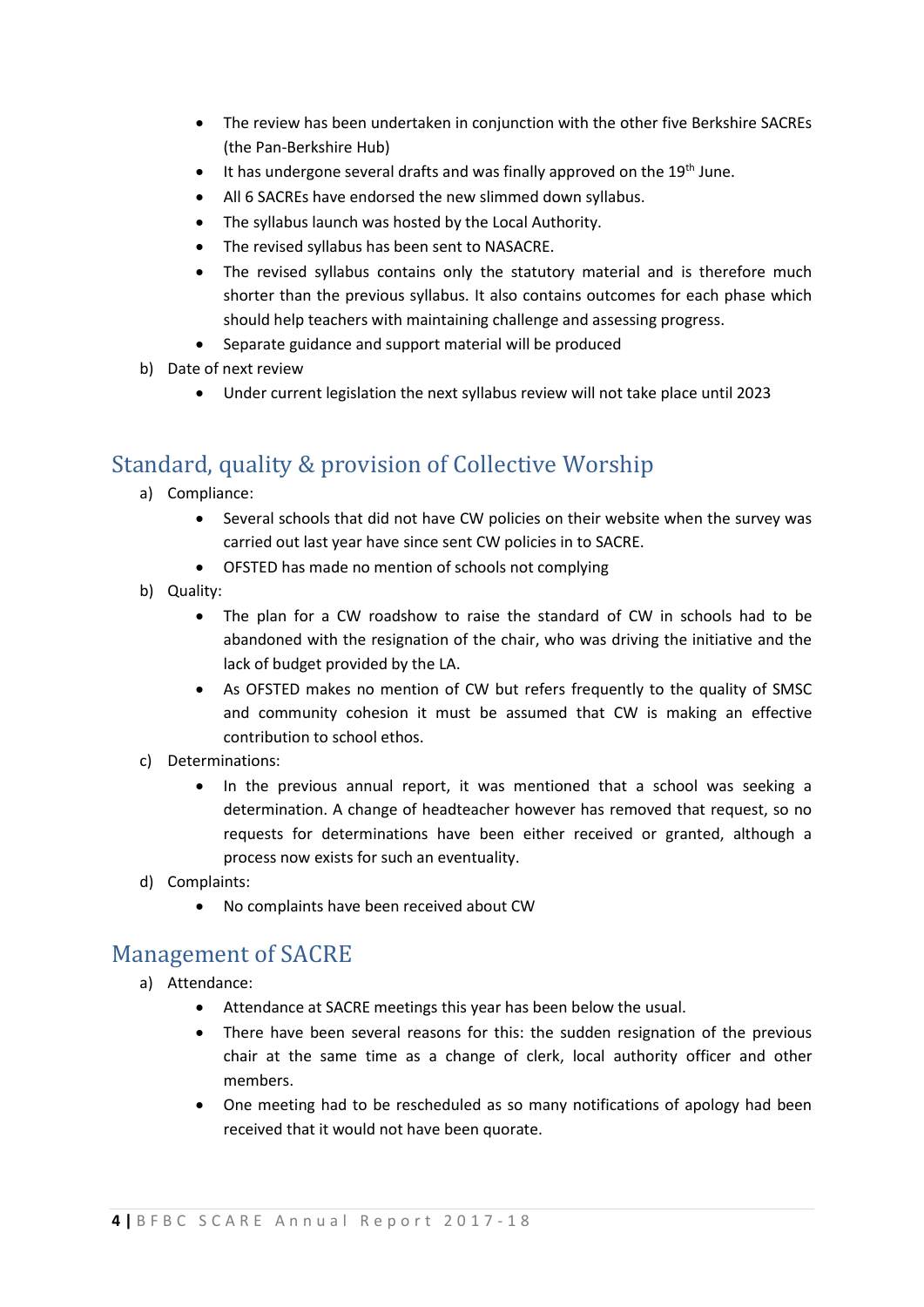- The review has been undertaken in conjunction with the other five Berkshire SACREs (the Pan-Berkshire Hub)
- It has undergone several drafts and was finally approved on the 19<sup>th</sup> June.
- All 6 SACREs have endorsed the new slimmed down syllabus.
- The syllabus launch was hosted by the Local Authority.
- The revised syllabus has been sent to NASACRE.
- The revised syllabus contains only the statutory material and is therefore much shorter than the previous syllabus. It also contains outcomes for each phase which should help teachers with maintaining challenge and assessing progress.
- Separate guidance and support material will be produced
- b) Date of next review
	- Under current legislation the next syllabus review will not take place until 2023

## Standard, quality & provision of Collective Worship

- a) Compliance:
	- Several schools that did not have CW policies on their website when the survey was carried out last year have since sent CW policies in to SACRE.
	- OFSTED has made no mention of schools not complying
- b) Quality:
	- The plan for a CW roadshow to raise the standard of CW in schools had to be abandoned with the resignation of the chair, who was driving the initiative and the lack of budget provided by the LA.
	- As OFSTED makes no mention of CW but refers frequently to the quality of SMSC and community cohesion it must be assumed that CW is making an effective contribution to school ethos.
- c) Determinations:
	- In the previous annual report, it was mentioned that a school was seeking a determination. A change of headteacher however has removed that request, so no requests for determinations have been either received or granted, although a process now exists for such an eventuality.
- d) Complaints:
	- No complaints have been received about CW

### Management of SACRE

- a) Attendance:
	- Attendance at SACRE meetings this year has been below the usual.
	- There have been several reasons for this: the sudden resignation of the previous chair at the same time as a change of clerk, local authority officer and other members.
	- One meeting had to be rescheduled as so many notifications of apology had been received that it would not have been quorate.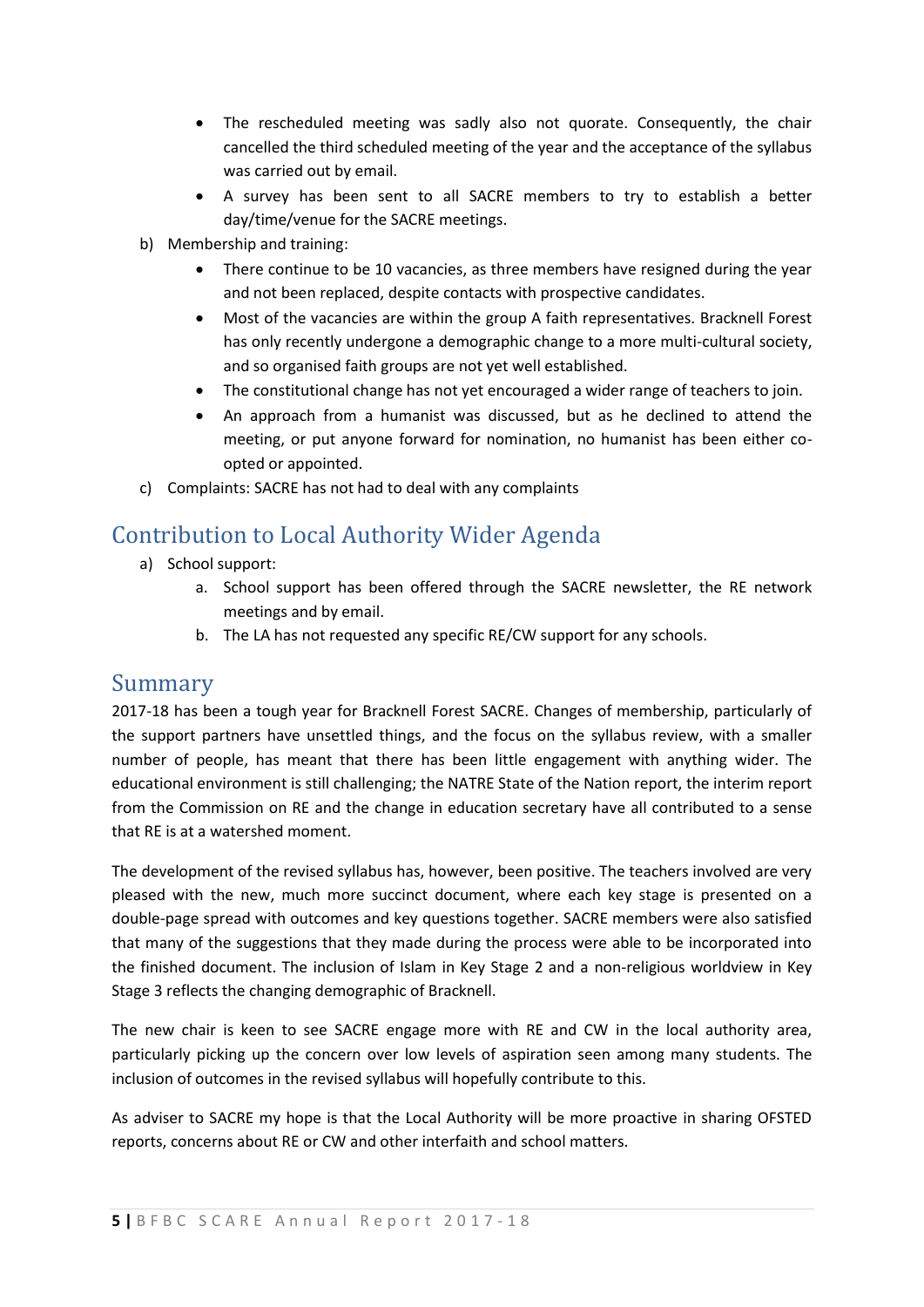- The rescheduled meeting was sadly also not quorate. Consequently, the chair cancelled the third scheduled meeting of the year and the acceptance of the syllabus was carried out by email.
- A survey has been sent to all SACRE members to try to establish a better day/time/venue for the SACRE meetings.
- b) Membership and training:
	- There continue to be 10 vacancies, as three members have resigned during the year and not been replaced, despite contacts with prospective candidates.
	- Most of the vacancies are within the group A faith representatives. Bracknell Forest has only recently undergone a demographic change to a more multi-cultural society, and so organised faith groups are not yet well established.
	- The constitutional change has not yet encouraged a wider range of teachers to join.
	- An approach from a humanist was discussed, but as he declined to attend the meeting, or put anyone forward for nomination, no humanist has been either coopted or appointed.
- c) Complaints: SACRE has not had to deal with any complaints

## Contribution to Local Authority Wider Agenda

- a) School support:
	- a. School support has been offered through the SACRE newsletter, the RE network meetings and by email.
	- b. The LA has not requested any specific RE/CW support for any schools.

#### Summary

2017-18 has been a tough year for Bracknell Forest SACRE. Changes of membership, particularly of the support partners have unsettled things, and the focus on the syllabus review, with a smaller number of people, has meant that there has been little engagement with anything wider. The educational environment is still challenging; the NATRE State of the Nation report, the interim report from the Commission on RE and the change in education secretary have all contributed to a sense that RE is at a watershed moment.

The development of the revised syllabus has, however, been positive. The teachers involved are very pleased with the new, much more succinct document, where each key stage is presented on a double-page spread with outcomes and key questions together. SACRE members were also satisfied that many of the suggestions that they made during the process were able to be incorporated into the finished document. The inclusion of Islam in Key Stage 2 and a non-religious worldview in Key Stage 3 reflects the changing demographic of Bracknell.

The new chair is keen to see SACRE engage more with RE and CW in the local authority area, particularly picking up the concern over low levels of aspiration seen among many students. The inclusion of outcomes in the revised syllabus will hopefully contribute to this.

As adviser to SACRE my hope is that the Local Authority will be more proactive in sharing OFSTED reports, concerns about RE or CW and other interfaith and school matters.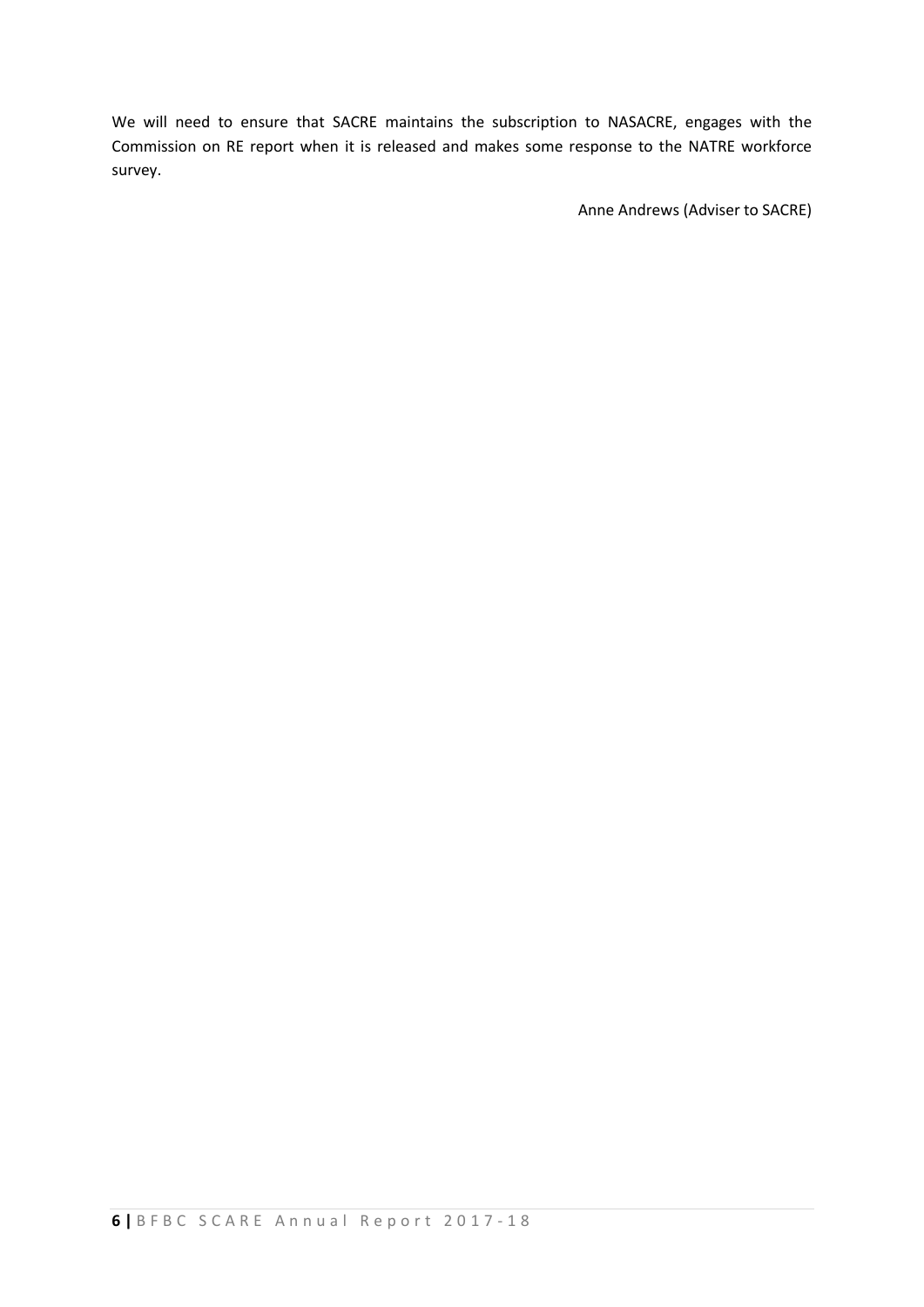We will need to ensure that SACRE maintains the subscription to NASACRE, engages with the Commission on RE report when it is released and makes some response to the NATRE workforce survey.

Anne Andrews (Adviser to SACRE)